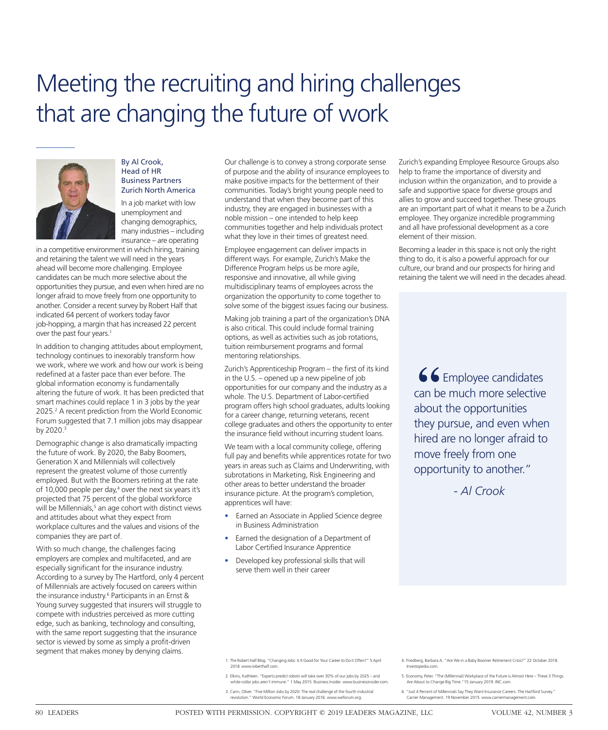# Meeting the recruiting and hiring challenges that are changing the future of work



#### By Al Crook, Head of HR Business Partners Zurich North America

In a job market with low unemployment and changing demographics, many industries – including insurance – are operating

in a competitive environment in which hiring, training and retaining the talent we will need in the years ahead will become more challenging. Employee candidates can be much more selective about the opportunities they pursue, and even when hired are no longer afraid to move freely from one opportunity to another. Consider a recent survey by Robert Half that indicated 64 percent of workers today favor job-hopping, a margin that has increased 22 percent over the past four years.<sup>1</sup>

In addition to changing attitudes about employment, technology continues to inexorably transform how we work, where we work and how our work is being redefined at a faster pace than ever before. The global information economy is fundamentally altering the future of work. It has been predicted that smart machines could replace 1 in 3 jobs by the year 2025.<sup>2</sup> A recent prediction from the World Economic Forum suggested that 7.1 million jobs may disappear by 2020.<sup>3</sup>

Demographic change is also dramatically impacting the future of work. By 2020, the Baby Boomers, Generation X and Millennials will collectively represent the greatest volume of those currently employed. But with the Boomers retiring at the rate of 10,000 people per day,<sup>4</sup> over the next six years it's projected that 75 percent of the global workforce will be Millennials,<sup>5</sup> an age cohort with distinct views and attitudes about what they expect from workplace cultures and the values and visions of the companies they are part of.

With so much change, the challenges facing employers are complex and multifaceted, and are especially significant for the insurance industry. According to a survey by The Hartford, only 4 percent of Millennials are actively focused on careers within the insurance industry.6 Participants in an Ernst & Young survey suggested that insurers will struggle to compete with industries perceived as more cutting edge, such as banking, technology and consulting, with the same report suggesting that the insurance sector is viewed by some as simply a profit-driven segment that makes money by denying claims.

Our challenge is to convey a strong corporate sense of purpose and the ability of insurance employees to make positive impacts for the betterment of their communities. Today's bright young people need to understand that when they become part of this industry, they are engaged in businesses with a noble mission – one intended to help keep communities together and help individuals protect what they love in their times of greatest need.

Employee engagement can deliver impacts in different ways. For example, Zurich's Make the Difference Program helps us be more agile, responsive and innovative, all while giving multidisciplinary teams of employees across the organization the opportunity to come together to solve some of the biggest issues facing our business.

Making job training a part of the organization's DNA is also critical. This could include formal training options, as well as activities such as job rotations, tuition reimbursement programs and formal mentoring relationships.

Zurich's Apprenticeship Program – the first of its kind in the U.S. – opened up a new pipeline of job opportunities for our company and the industry as a whole. The U.S. Department of Labor-certified program offers high school graduates, adults looking for a career change, returning veterans, recent college graduates and others the opportunity to enter the insurance field without incurring student loans.

We team with a local community college, offering full pay and benefits while apprentices rotate for two years in areas such as Claims and Underwriting, with subrotations in Marketing, Risk Engineering and other areas to better understand the broader insurance picture. At the program's completion, apprentices will have:

- Earned an Associate in Applied Science degree in Business Administration
- Earned the designation of a Department of Labor Certified Insurance Apprentice
- Developed key professional skills that will serve them well in their career

Zurich's expanding Employee Resource Groups also help to frame the importance of diversity and inclusion within the organization, and to provide a safe and supportive space for diverse groups and allies to grow and succeed together. These groups are an important part of what it means to be a Zurich employee. They organize incredible programming and all have professional development as a core element of their mission.

Becoming a leader in this space is not only the right thing to do, it is also a powerful approach for our culture, our brand and our prospects for hiring and retaining the talent we will need in the decades ahead.

66 Employee candidates can be much more selective about the opportunities they pursue, and even when hired are no longer afraid to move freely from one opportunity to another."

*- Al Crook*

- 1. The Robert Half Blog. "Changing Jobs: Is It Good for Your Career to Do it Often?" 5 April 2018. www.roberthalf.com.
- 2. Elkins, Kathleen. "Experts predict robots will take over 30% of our jobs by 2025 and white-collar jobs aren't immune." 1 May 2015. Business Insider. www.businessinsider.com.
- 3. Cann, Oliver. "Five Million Jobs by 2020: The real challenge of the fourth industrial revolution." World Economic Forum. 18 January 2016. www.weforum.org.
- 4. Friedberg, Barbara A. "Are We in a Baby Boomer Retirement Crisis?" 22 October 2018. Investopedia.com.
- 5. Economy, Peter. "The (Millennial) Workplace of the Future is Almost Here These 3 Things Are About to Change Big Time."15 January 2019. INC.com.
- 6. "Just 4 Percent of Millennials Say They Want Insurance Careers: The Hartford Survey." Carrier Management. 19 November 2015. www.carriermanagement.com.